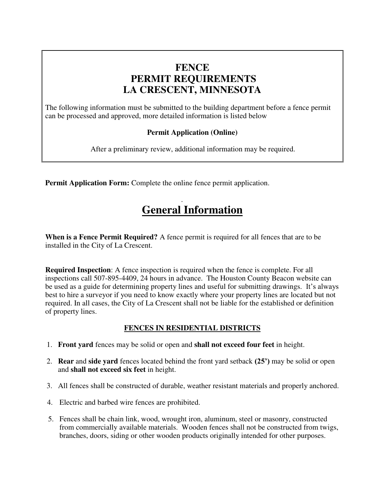## **FENCE PERMIT REQUIREMENTS LA CRESCENT, MINNESOTA**

The following information must be submitted to the building department before a fence permit can be processed and approved, more detailed information is listed below

### **Permit Application (Online)**

After a preliminary review, additional information may be required.

**Permit Application Form:** Complete the online fence permit application.

# . **General Information**

**When is a Fence Permit Required?** A fence permit is required for all fences that are to be installed in the City of La Crescent.

**Required Inspection**: A fence inspection is required when the fence is complete. For all inspections call 507-895-4409, 24 hours in advance. The Houston County Beacon website can be used as a guide for determining property lines and useful for submitting drawings. It's always best to hire a surveyor if you need to know exactly where your property lines are located but not required. In all cases, the City of La Crescent shall not be liable for the established or definition of property lines.

### **FENCES IN RESIDENTIAL DISTRICTS**

- 1. **Front yard** fences may be solid or open and **shall not exceed four feet** in height.
- 2. **Rear** and **side yard** fences located behind the front yard setback **(25')** may be solid or open and **shall not exceed six feet** in height.
- 3. All fences shall be constructed of durable, weather resistant materials and properly anchored.
- 4. Electric and barbed wire fences are prohibited.
- 5. Fences shall be chain link, wood, wrought iron, aluminum, steel or masonry, constructed from commercially available materials. Wooden fences shall not be constructed from twigs, branches, doors, siding or other wooden products originally intended for other purposes.